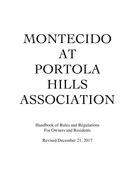# MONTECIDO AT PORTOLA HILLS ASSOCIATION

Handbook of Rules and Regulations For Owners and Residents

Revised December 21, 2017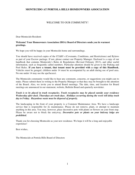# WELCOME TO OUR COMMUNITY!

Dear Montecido Resident:

#### **Welcome! Your Homeowners Association (HOA) Board of Directors sends you its warmest greetings.**

We hope you will be happy in your Montecido home and surroundings.

You should have received copies of the CC&R's (Covenants, Conditions, and Restrictions) and Bylaws as part of your Escrow package. If not, please contact our Property Manager. Enclosed is a copy of our handbook that contains Montecido's Rules & Regulations (Revised February 2013), and other useful information, such as frequently called numbers. Particular attention should be given to the Parking and Pool Rules. **If you have a tenant, that tenant must be provided with a copy of this Handbook.**  Vehicles must be garaged, children under 14 must be accompanied by an adult during use of pool area. No one under 14 may use the spa/Jacuzzi.

The Montecido community would like to hear any comments, concerns, or suggestions you might care to make. Please submit them in writing to the Property Manager so that they may be brought to the attention of the Board. Also, we invite you to attend Board meetings. The date, time, and location for Board meetings are announced in our statement, website, Bulletin Board and quarterly newsletter.

#### *Trash is to be placed in trash receptacles. Trash receptacles may be placed outside your residence Wednesday after dusk. Thursdays are trash days. Holidays occurring during the week will delay trash day to Friday. Hazardous waste must be disposed of properly.*

The landscaping in the front of your property is a Common Maintenance Area. We have a landscape service that is responsible for its maintenance. Please do not remove, plant, or attempt to maintain anything in this area. You may, however, place decorative pots with plants or flowers on your front step. Please be aware not to block the entryway. *Decorative pots or plants on your balcony ledge are prohibited.* 

Thank you for choosing Montecido as your new residence. We hope it will be a long and enjoyable experience!

Best wishes,

The Montecido at Portola Hills Board of Directors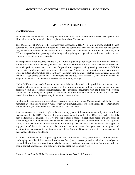## **COMMUNITY INFORMATION**

Dear Homeowner,

For those new homeowners who may be unfamiliar with life in a common interest development like Montecido, your Board would like to explain a little about Montecido.

The Montecido at Portola Hills Homeowners Association (HOA) is a non-profit, mutual benefit corporation. The Corporation's purpose is to provide community services and facilities for the general use, benefit and welfare of the owners and/or occupants of Montecido. In fulfilling this purpose, your HOA is responsible for operating, maintaining, and regulating the operations and business affairs of the common areas and common interests.

The responsibility for ensuring that the HOA is fulfilling its obligation is given to its Board of Directors. Along with your fellow owners, you elect the Directors whose duty it is to make business decisions and establish policies consistent with the Corporation's purpose and governing documents-CC&R's (Covenants, Conditions, and Restrictions), Bylaws, and Articles of Incorporation-along with various Rules and Regulations, which the Board may pass from time to time. Together these materials comprise the HOA's "governing documents." Your Board has the duty to enforce the CC&R's and the Rules and Regulations when it is in the best interest of the community at large.

Under California Law, each Board member has a fiduciary duty to "act in good faith in a manner such Director believes to be in the best interest of the Corporation as an ordinary prudent person in a like position would under similar circumstances." The governing documents vest the Board with specific powers so it may carry out its purpose. The Board may not take any action for which it has not been vested the authority by the governing documents or statutory law.

In addition to the controls and restrictions governing the common areas, Montecido at Portola Hills HOA members are obligated to comply with certain Architectural/Landscape Regulations. These Regulations are included in your Handbook you have received with this letter.

As a homeowner, you have the right to the use and enjoyment of the common areas subject to control and management by the HOA. The use of common areas is controlled by the CC&R's, as well as by duly adopted Rules & Regulations. If it is your desire to make a change, alteration, or addition to your home or surrounding landscaping, and the change can be seen from any portion of a common area or an adjoining home, or the change would impair the structural integrity, mechanical systems or lessen the support of any portion of the project or restrict the view of any other owner, then you must submit plans and specifications and receive the written approval of the Board of Directors prior to the commencement of the change, alteration, or addition.

Examples of changes that require approval are: removal of walls, patio decks, patio enclosures, landscaping, satellite dishes, (when installed on fascia) etc. Non-approved installations are subject to removal. If you have any doubt as to whether or not a particular project requires Board approval, you should contact Management and submit your plans **prior** to beginning work.

Montecido at Portola Hills Homeowners Association Board of Directors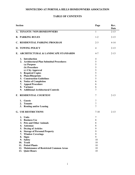# **TABLE OF CONTENTS**

| <b>Section</b> |                                            | Page     | Rev.<br>Date |
|----------------|--------------------------------------------|----------|--------------|
|                | A. TENANTS / NON-HOMEOWNERS                | 1        | $2 - 13$     |
|                | <b>B. PARKING RULES</b>                    | $1 - 2$  | $2 - 13$     |
|                | C. RESIDENTIAL PARKING PROGRAM             | $2 - 3$  | $4 - 14$     |
|                | <b>D. TOWING POLICY</b>                    | 4        | $2 - 13$     |
|                | E. ARCHITECTURAL & LANDSCAPE STANDARDS     | $4 - 7$  | $2 - 13$     |
|                | 1. Introduction                            | 4        |              |
|                | 2. Architectural Plan Submittal Procedures | 5        |              |
|                | (a) Purpose                                | 5        |              |
|                | (b) Procedure                              | 5        |              |
|                | (c) City Approval                          | 5        |              |
|                | 3. Required Copies                         | 5        |              |
| 4.             | <b>Plans/Blueprints</b>                    | 5        |              |
| 5.             | <b>Construction Guidelines</b>             | 5        |              |
|                | 6. Notice of Completion                    | 6        |              |
| 7.             | <b>Appeal Procedure</b>                    | 6        |              |
|                | 8. Variance                                | 6        |              |
| 9.             | <b>Additional Architectural Controls</b>   | 7        |              |
|                | F. RESIDENTIAL COURTESY                    | 7        | $2 - 13$     |
| 1.             | <b>Guests</b>                              | 7        |              |
| 2.             | <b>Tenants</b>                             | 7        |              |
|                | 3. Renting and/or Leasing                  | 7        |              |
|                | <b>G. USE RESTRICTIONS</b>                 | $7 - 10$ | $2 - 13$     |
|                | 1. Units                                   | 7        |              |
|                | 2. Business Use                            | 8        |              |
|                | 3. Pets and Other Animals                  | 8        |              |
| 4.             | <b>Antennas</b>                            | 8        |              |
| 5.             | <b>Drying of Articles</b>                  | 9        |              |
| 6.             | <b>Storage of Personal Property</b>        | 9        |              |
| 7.             | <b>Window Coverings</b>                    | 9        |              |
| 8.             | <b>Signs</b>                               | 9        |              |
|                | 9. Safety                                  | 10       |              |
|                | 10. Trash                                  | 10       |              |
|                | 11. Potted Plants                          | 10       |              |
|                | 12. Maintenance of Restricted Common Areas | 10       |              |
|                | 13. Quiet Hours                            | 10       |              |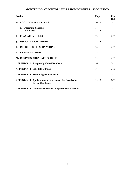| <b>Section</b>                               |                                                              | Page            | Rev.<br>Date |
|----------------------------------------------|--------------------------------------------------------------|-----------------|--------------|
| H. POOL COMPLEX RULES                        |                                                              | $10-12$         | $2-13$       |
| 1. Operating Schedule<br>2. Pool Rules       |                                                              | 11<br>$11 - 12$ |              |
| $\mathbf{I}$ .<br><b>PLAY AREA RULES</b>     |                                                              | 12              | $2 - 13$     |
| <b>USE OF WEIGHT ROOM</b><br>J.              |                                                              | $13 - 14$       | $2-13$       |
| K. CLUBHOUSE RESERVATIONS                    |                                                              | 14              | $2 - 13$     |
| L. KEYS/HANDBOOK                             |                                                              | 15              | $2-13$       |
| M. COMMON AREA SAFETY RULES                  |                                                              | 15              | $2 - 13$     |
| <b>APPENDIX 1. Frequently Called Numbers</b> |                                                              | 16              | $2-13$       |
| <b>APPENDIX 2. Schedule of Fines</b>         |                                                              | 17              | $2-13$       |
| <b>APPENDIX 3. Tenant Agreement Form</b>     |                                                              | 18              | $2-13$       |
| to Use Clubhouse                             | <b>APPENDIX 4. Application and Agreement for Permission</b>  | $19-20$         | $2 - 13$     |
|                                              | <b>APPENDIX 5. Clubhouse Clean-Up Requirements Checklist</b> | 21              | $2 - 13$     |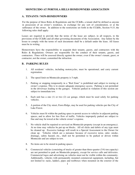## **A. TENANTS / NON-HOMEOWNERS**

For the purpose of these Rules & Regulations and the CC&Rs, a tenant shall be defined as anyone in possession of an owner's residence, in exchange for any sort of consideration, or at the sufferance of the owner. In addition to the restrictions set forth in the CC&Rs, Section 9.15, the following rules shall apply:

Leases are required to provide that the terms of the lease are subject, in all respects, to the provisions of the CC&Rs and all other governing documents of the Association. Any failure by the lessee to comply with the terms of such documents shall be a default under the lease. All leases must be in writing.

Homeowners have the responsibility to acquaint their tenants, guests, and contractors with the Rules & Regulations. Owners are responsible for the conduct of their tenants, guests, and contractors. Fines will be assessed directly against the owner, even if the owner's tenant, guest, or contractor, not the owner, committed the infraction.

#### **B. PARKING RULES**

- 1. All residents' vehicles, including motorcycles, must be operational, and carry current registration.
- 2. The speed limit on Montecido property is 5 mph.
- 3. Parking or stopping temporarily in a "Red Zone" is prohibited and subject to towing at owner's expense. This is to ensure adequate emergency access. Parking is not permitted in the driveways leading to the garages. Vehicles parked in violation of this section are subject to immediate tow.
- 4. Each unit has a one (1) or two (2) car garage, which must be used solely for parking vehicles.
- 5. A portion of the City street, Fawn Ridge, may be used for parking vehicles per the City of Lake Forest.
- 6. Vehicles must fit within the parking space to permit access to vehicles in adjacent parking spaces, and to allow for free flow of traffic. Vehicles improperly parked are subject to fine and may be towed at the vehicle owner's expense.
- 7. No vehicle shall be repaired or serviced on Montecido property (except in an emergency). At no time may vehicles be put up on blocks. All oil slicks and debris of any type must be cleaned up. Excessive leakage will result in a Special Assessment to the Owner for clean up. Vehicles which are a nuisance because of excessive noise, odor, smoke, drainage, safety hazard, etc., shall not be permitted to be parked or driven within Montecido and are subject to tow.
- 8. No items are to be stored in parking spaces.
- 9. Commercial vehicles (consisting of trucks of greater than three-quarter (3/4) ton capacity) are not permitted to park on Montecido property, except for service calls and deliveries. Commercial logos and advertising on vehicles must not be visible within the community. Additionally, vehicles with permanently mounted commercial equipment, including, but not limited to: racks, ladders, pipes and toolboxes when mounted on the exterior of the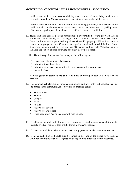vehicle and vehicles with commercial logos or commercial advertising, shall not be permitted to park on Montecido property, except for service calls and deliveries.

Parking shall be limited to the duration of service being provided, and placement of the vehicle shall not obstruct street travel lanes, access to driveways, or parking areas. Standard size pick-up trucks shall not be considered commercial vehicles.

- 10. Trucks and vans used as personal transportation are permitted to park, provided they do not exceed 7 ft. in height, 20 ft. in length, or 8 ft. in width. Vehicles that exceed any of these size limits are not permitted to park on Montecido property. All vehicles must be parked in a garage or in a Common Area parking stall with a valid Parking Permit displayed. Vehicle must fully fit into one (1) marked parking stall. Vehicles found in violation are subject to fines or towing or both at the owner's expense.
	- 11. There is no parking at any time in any of the following areas:
		- On any part of community landscaping
		- In front of trash dumpsters
		- In front of garages or in any of the driveways (except for motorcycles)
		- In any fire lane

#### *Vehicles found in violation are subject to fines or towing or both at vehicle owner's expense.*

- 12. Recreational vehicles, trailer-mounted equipment, and non-motorized vehicles shall not be parked in the community, except within an enclosed garage.
	- Motor homes
	- **Trailers**
	- Campers
	- Boats
	- Jet skis
	- Any type of aircraft
	- Any type of watercraft
	- Dune buggies, ATVs or any other off-road vehicle
- 13. Disabled or immobile vehicles must be removed or repaired to operable condition within seventy-two (72) hours, or they will be towed at owner's expense.
- 14. It is not permissible to drive across or park on any grass area under any circumstances.
- 15. Vehicles parked on Red Bluff must be parked in direction of the traffic flow. *Vehicles found in violation are subject to fines or towing or both at vehicle owner's expense.*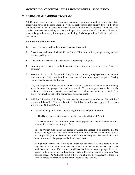## **C. RESIDENTIAL PARKING PROGRAM**

All Common Area parking is considered temporary parking, limited to seventy-two (72) consecutive hours in the same location. Vehicles parked more than seventy-two (72) hours in the same location will be cited and towed at the vehicle owner's expense. Residents with special circumstances needing to park for longer than seventy-two (72) hours will need to contact the patrol company for temporary safelisting. A visible permit will still be required on the vehicle.

#### **Residential Parking Permits**

- 1. One (1) Resident Parking Permit is issued per household.
- 2. Owners and residents of Montecido at Portola Hills must utilize garage parking as their primary parking area.
- 3. All Common Area parking is considered temporary parking only.
- 4. Common Area parking is available on a first come, first serve basis; there is no "assigned parking."
- 5. You must have a valid Resident Parking Permit prominently displayed on your rearview mirror or on the dash board in order to park in any Common Area parking space. Parking Permit must be visible at all times.
- 6. Only motorcycles will be permitted to park, without a permit, on the concrete driveway apron between the garage door and the asphalt. The motorcycle has to be entirely contained within the concrete area and not protruding out onto the asphalt. The motorcycle must belong to the homeowner or his/her guest.
- 7. Additional Residential Parking Permits may be requested by an Owner. The additional permits will be called "Optional Permits." The following rules shall apply to that request and use of an Optional Permit:
	- a. The following qualifications apply to eligibility for an Optional Permit:
		- i. The Owner must contact management to request an Optional Permit.

ii. The Owner must be current on all outstanding special and regular assessments and may not have any levied or unpaid fines.

iii. The Owner must make the garage available for inspection to confirm that the garage is being used to house the maximum number of vehicles for which the garage was originally (without homeowner modifications) designed. For rental units, the tenant must make the garage available for inspection.

iv. Optional Permits will only be available for residents that have more vehicles registered to a unit and more licensed drivers than the number of parking spaces available to the unit. For example, residents that have a two-car garage, have two spaces in the garage and one Residential Parking Permit for use of a Common Area parking space. An Optional Permit will be available for these residents if there is a fourth licensed driver and a fourth vehicle registered to the unit.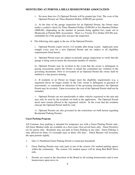v. No more than two (2) Optional Permits will be granted per Unit. The costs of the Optional Permits are Three Hundred Dollars (\$300.00) per permit.

vi. At the time of the garage inspection for an Optional Permit, the Owner must tender a cashier's check for Three Hundred Dollars (\$300.00) or Six Hundred Dollars (\$600.00), (depending on the number of permits being applied for), made out to Montecido at Portola Hills Association. There is a Twenty Five Dollar (\$25.00) nonrefundable fee if the garage does not pass the inspection.

b. The following rules apply to the use of the Optional Permits:

i. Optional Permits expire twelve (12) months after being issued. Applicants must reapply every year for a new Optional Permit and are subject to all eligibility requirements listed herein.

ii. Optional Permit users are subject to periodic garage inspections to verify that the garage is being used to house the maximum number of vehicles.

iii. Optional Permits may be revoked in the event that the owner is delinquent in paying assessments and/or the Owner or tenant has committed any violation of the governing documents. Prior to revocation of an Optional Permit the owner shall be entitled to a due process hearing.

iv. If residents or an Owner no longer meet the eligibility requirements (e.g. a registered driver no longer resides in the Unit, owner is delinquent in payment of assessments, or committed an infraction of the governing documents), the Optional Permit may be revoked. Upon revocation, the cost of the Optional Permit shall not be refunded.

v. Optional Permits are not transferrable to other vehicles registered to the unit and may only be used by the residents set forth in the application. The Optional Permit decal must remain affixed to the registered vehicle. In the event that the residents relocate the Optional Permit shall be void.

vi. Optional Permits are also governed by the restrictions set forth herein regarding Residential Parking Permits.

#### **Guest Parking Program**

All Common Area parking is intended for temporary use with a Guest Parking Permit only. All Guest Marked stalls are available on a first-come, first-served basis only. Guest Permit(s) are for guests only. Residents may not park in Guest Parking at any time. Guest Parking is only allowed for three (3) overnight stays in thirty (30) days. Patrol Masters will inventory the open permits nightly.

- 1. One (1) Numbered Guest Parking Permit is issued per household.
- 2. Guest Parking Permits may only park in one of the sixteen (16) marked parking spaces within the community. The sixteen (16) marked spaces will be along Red Bluff Drive only.
- 3. Permits are issued at the discretion of the Board to all existing homeowners and to new homeowners upon move in.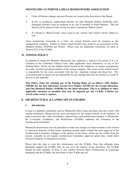- 4. Color of Permits changes and new Permits are issued at the discretion of the Board.
- 5. If lost or misplaced, replacement Permits are One Hundred Dollars (\$100.00) each. Damaged Permit(s) may be replaced at no cost if returned to Patrol Masters. The old Permit will be placed on the towing list and is considered "Black-Listed."
- 6. If a Permit is "Black-Listed" and is used in any vehicle, that vehicle will be subject to tow.

Upon transferring ownership of a Unit, any issued Permits must be returned to the management company. Failure to return issued Permits may result in an assessment of One Hundred Dollars (\$100.00) per Permit. Please note the additional restrictions set forth in Section 9.01 of the CC&Rs.

# **D. TOWING POLICY**

In addition to fining the Member, Montecido may authorize a vehicle to be towed if it is in violation of the California Vehicle Code, other applicable local ordinances, or any of the Parking Rules. Please see the bulletin board located at the clubhouse or contact management for name, location and phone number of the towing company. The owner of the vehicle towed is responsible for the costs associated with the tow, impound, storage and drop fees. The Association and its agents are not responsible for any damage that may be caused as a result of the tow or the impound.

**Fine Policy: Fines for violating any of the Parking Rules are as follows: Fifty Dollars (\$50.00) for the first infraction, Seventy-Five Dollars (\$75.00) for the second infraction, and One Hundred Dollars (\$100.00) for the third infraction. This is in addition to other applicable sanctions or penalties that may be imposed per the CC&Rs. Vehicles are towed at the owner's expense.**

# **E. ARCHITECTURAL & LANDSCAPE STANDARDS**

#### **1. Introduction**

Living in a planned community such as Montecido offers many privileges and also comes with certain restrictions. Montecido has been developed for the mutual benefit of all members. In order to preserve the value, desirability, attractiveness and architectural integrity of Montecido, the Covenants, Conditions, and Restrictions (CC&Rs) authorize the formation of the Architectural Committee.

Montecido homeowners are not permitted to make any changes or improvements to the exterior or structural elements of their home, including exterior paint, without the prior approval of the Architectural Committee. Changes to the interior of the home, which are not visible from the outside, typically do not require Architectural Committee approval unless they would affect structural integrity or mechanical systems.

Please take the time to read this information and the CC&Rs. Note that although these Standards support the CC&Rs, they do not cover the entirety of the document. The CC&Rs should be read carefully. If there is any conflict between these Architectural & Landscape Standards and the CC&Rs, the provisions of the CC&Rs prevail.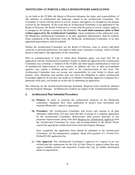As set forth in the CC&Rs, the Board of Directors delegates the duties and responsibilities of full authority of architectural and landscape control to the Architectural Committee. The Committee is vested with the power to review, inspect, and approve (or disapprove) all changes covered by the Standards. In the event that an Architectural Committee is not appointed by the Board of Directors, the Board of Directors is vested with the power to review, inspect, approve or disapprove all changes covered by the Standards. **No work shall commence prior to final written approval by the Architectural Committee**. Upon completion of the authorized work, the Montecido Architectural Committee or its duly appointed representative shall be notified. Upon completion of the authorized work, the Montecido Architectural Committee, or its duly appointed representative shall be notified/

Neither the Architectural Committee nor the Board of Directors seeks to restrict individual creativity or personal preferences, but rather to help assure continuity in design, which will help preserve and improve the appearance of the community.

Prior to commencement of work to which these Standards apply, you must first file an application with the Architectural Committee. Failure to obtain the approval of the Architectural Committee may constitute a violation of the CC&Rs and shall require modification or removal of unauthorized improvements at your expense. In addition, the City or other governmental agencies may require a building permit prior to the commencement of any work. The Architectural Committee does not assume any responsibility for your failure to obtain such permits. Also, obtaining such permits does not waive the obligation to obtain Architectural Committee approval. If you have any doubt as to whether Committee approval is required for a particular work item, you should err on the side of submitting an application.

The following are the Architectural/Landscape Standards. Required forms should be obtained from the Property Manager. All Montecido residents are subject to the Architectural Standards,

#### **2. Architectural Plan Submittal Procedures**

- **(a) Purpose-** In order to maintain the architectural character of the Montecido community, Standards have been established to protect your investment and maintain Montecido's attractive appearance.
- **(b) Procedure-** The Architectural Committee will review and respond to all plan submittals within thirty (30) days from the date of receipt of a complete application by the Architectural Committee. Homeowners shall present drawings of any proposed improvements along with their Request for Architectural Approval from the Architectural Committee for study and recommendation to the Board. Please request the appropriate architectural forms from the Property Manager.

Once completed, the application form should be submitted to the Architectural Committee, via the management company, along with payment of a Twenty-Five Dollar(\$25.00) application fee.

**(c) City Approval-** The Architectural Committee's approval of a request in no way circumvents the requirement for the City of Lake Forest to approve plans that may require building permits and inspection. Contact the City for further information about its requirements.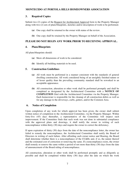# **3. Required Copies**

Submit two (2) copies of the Request for Architectural Approval form to the Property Manager along with two (2) sets of plans/blueprints, sketches and/or description of work to be performed.

- **(a)** One copy shall be returned to the owner with status of the review.
- **(b)** One copy shall be retained by the Property Manager on behalf of the Association.

# **PLEASE DO NOT BEGIN ANY WORK PRIOR TO RECEIVING APPROVAL.**

#### **4. Plans/Blueprints**

All plans/blueprints should:

- **(a)** Show all dimensions of work to be considered.
- **(b)** Identify all building materials to be used.

# **5. Construction Guidelines**

- **(a)** All work must be performed in a manner consistent with the standards of general dwelling construction. All work considered being of an unsightly finished nature or of lesser quality than the prevailing community standard shall be reworked to an acceptable appearance.
- **(b)** All construction, alteration or other work shall be performed promptly and shall be completed as designated by the Architectural Committee with a **NOTICE OF COMPLETION** filed with the Architectural Committee via the Property Manager. Each homeowner is responsible for the cleanup of all construction debris as well as for any damage to the driveways, curbs, gutters, and/or the Common Area.

# **6. Notice of Completion**

Upon completion of any work for which approval has been given, the owner shall submit written notice of completion to the Architectural Committee, via the Property Manager. Within forty-five (45) days thereafter, a representative of the Committee will inspect such improvement. If the Committee finds that such work was not done in substantial compliance with the approved plans and drawings, it shall notify the owner in writing of such noncompliance within thirty (30) days and require the owner to correct the deficiency.

If upon expiration of thirty (30) days from the date of the noncompliance letter, the owner has failed to remedy the noncompliance, the Architectural Committee shall notify the Board of Directors in writing of such failure. After affording such owner notice and Hearing, the Board shall determine whether there is a noncompliance of the CC&Rs and, if so, the nature thereof and the estimated cost of correction or removing the same. If a noncompliance exists, the owner shall remedy or remove the same within a period of not more than thirty (30) days from the date of announcement of the Board ruling of noncompliance.

All construction, alteration or other work shall be performed promptly and as diligently as possible and shall be completed within thirty (30) days after the date on which the work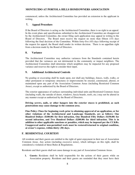commenced, unless the Architectural Committee has provided an extension to the applicant in writing.

# **7. Appeal Procedure**

If the Board of Directors is acting as the Architectural Committee, there is no right to an appeal. In the event plans and specifications submitted to the Architectural Committee are disapproved by the Architectural Committee, the owner filing such application may appeal in writing to the Board of Directors. The Board must receive the request no more than fifteen (15) days following the final decision of the Committee. Within forty-five (45) days following receipt of the request for appeal, the Board shall render its written decision. There is no appellate right from a decision made by the Board of Directors.

# **8. Variance**

The Architectural Committee may authorize variances from the Standards contained herein provided that the variances are not detrimental to the community or impact neighbors. The Architectural Committee shall determine which neighbors may be impacted for any proposed variance and reserves the right to consider their input.

# **9. Additional Architectural Controls**

No grading or excavating shall be made upon, nor shall any buildings, fences, walls, walks, or other permanent or temporary structures or improvements be erected, constructed, altered, or maintained upon any part of the Association Common Areas (including Restricted Common Areas), except as authorized by the Board of Directors.

The exterior appearance of surfaces surrounding individual units and Restricted Common Areas (including walls, the outside of doors, windows, fascia boards, roofs, etc.) may not be altered in any manner except as authorized by the Board of Directors.

**Driving screws, nails, or other hangers into the exterior stucco is prohibited, as such penetrations may cause damage to the common area.** 

**Fine Policy: Fines for beginning work prior to obtaining approval of an application, or for other violations of the Architectural and Landscape Standards, are as follows: One Hundred Dollars (\$100.00) for first infraction, One Hundred Fifty Dollars (\$150.00) for second infraction, and Two Hundred Dollars (\$200.00) for third infraction. This is in addition to other applicable sanctions or penalties, which may be imposed per the CC&Rs. Unapproved and/or non-permitted work must be restored/returned to original condition, at owner's expense, within thirty (30) days.** 

# **F. RESIDENTIAL COURTESY**

All residents and their guests are entitled to the right of quiet enjoyment in their use of Association Common Areas. Any action (including excessive noise), which infringes on this right, shall be considered a violation of these Rules & Regulations.

Residents and their guests shall not cause damage to any part of Association Common Areas.

**1. Guests:** Residents shall be held responsible for the actions of their guests while on Association property. Residents and their guests are reminded that they must have their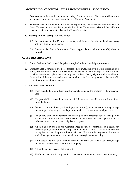Common Area key with them when using Common Areas. The host resident must accompany guests when using the pool or any Common Area facility.

- **2. Tenants:** Tenants are bound by the Rules & Regulations, and are subject to enforcement of them. Tenants' actions are the responsibility of the Homeowner, who will be liable for payment of fines levied on the Tenant (or Tenant's guests).
- **3. Renting and/or Leasing:** Owners are to:
	- **(a)** Provide tenant with a Common Area Key and Rules & Regulations handbook along with any amendments thereto.
	- **(b)** Complete the Tenant Information Sheet (Appendix #3) within thirty (30) days of move-in.

#### **G. USE RESTRICTIONS**

- **1. Units:** Each unit shall be used for private, single-family residential purposes only.
- **2. Business Use:** Operating a business, profession, or trade, employing active personnel in a home, are prohibited. Home offices, as an extension of one's workplace, are permitted provided that the workplace use is not apparent or detectable by sight, sound or smell from the exterior of the unit and such non-residential activity does not generate nuisance traffic or limit parking for other residents.

#### **3. Pets and Other Animals**

- **(a)** Dogs must be kept on a leash at all times when outside the confines of the individual unit.
- **(b)** No pets shall be fenced, housed, or tied in any area outside the confines of the individual unit.
- **(c)** Domestic household pets (such as dogs, cats or birds), not to exceed two, may be kept in a unit, providing they are not kept or maintained for any commercial purposes.
- **(d)** Pet owners shall be responsible for cleaning up any droppings left by their pets in Association Common Area. Pet owners are to ensure that their pets are not a nuisance, or cause damages to neighbor's property.
- **(e)** When a dog or cat is in the Common Area it shall be controlled on a leash, not exceeding six (6') feet in length, or placed in an animal carrier. The pet handler must be capable of controlling the animal's behavior. For example, dogs on leash must be walked by a person mature enough and strong enough to control a dog.
- **(f)** No livestock, poultry, or other animals (domestic or not), shall be raised, bred, or kept in any unit or elsewhere on Montecido property.
- **(g)** All applicable pet licenses are required.
- **(h)** The Board may prohibit any pet that is deemed to cause a nuisance to the community.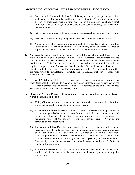- **(i)** Pet owners shall have sole liability for all damages claimed by any person harmed by such pet and shall indemnify, hold harmless and defend the Association from any and all liability whatsoever resulting from such claims and damages including, without limitation, damage awards, as well as costs and reasonable attorney fees incurred by the Association.
- **(j)** Pets are never permitted in the pool area, play area, recreation center or weight room.
- **(k)** Pets shall not be tied up in parking areas. Pets shall not be left alone in vehicles.
- **(l)** No person may allow an animal, when unprovoked, to bite, attack, endanger, or inflict injury on another person or animal. No person may allow an animal to chase or approach an individual in a menacing fashion or apparent attitude of attack.
- **4. Antennas:** No antennas or lead wire of any type will be placed, mounted, located on, or attached to any part of the Common Area, or Restricted Common Area, if visible from the outside. Satellite dishes in excess of 18" in diameter are not permitted. Free-standing satellite dishes, 18" in diameter or less, which are located on the patio or balcony do not require preapproval from Montecido. Satellite dishes, 18" in diameter or less, may be mounted to the building fascia board only **and require written Architectural Committee approval prior to installation.** Satellite dish installation shall not be made with penetrations to the stucco.
- **5. Drying of Articles:** No clothes, sheets, rugs, blankets, towels, bathing suits, mops or any other items shall be hung out to dry, or for any other purpose, placed on any part of the Association Common Area or otherwise outside the confines of the unit. This includes Restricted Common Area, such as balcony railings.
- **6. Storage of Personal Property:** Personal property generally is to be stored and/or housed within the confines of the unit.
	- **(a) Utility Closets** are not to be used for storage of any kind. Items stored in the utility closets are subject to immediate removal and disposal.
	- **(b) Patios and Balconies-** excessive "clutter" on patios and balconies is not permitted. It is otherwise permissible to place patio furniture, umbrellas, decorative plants and flowers, on patios and balconies. Such uses, however, must not cause damage to the membrane surface of the balcony (second floor carriage units). *No items are permitted on the balcony ledge.*
	- **(c) Barbeques and Fire Pits** In conformance with the California Fire Code charcoal burners, portable fire pits and other open flame and cooking devices *may not* be used on the patios or balconies or within ten (10') feet of combustible construction. Liquefied petroleum gas (otherwise known as LP Gas) cooking devices that have an LP Gas container with water capacity greater than 2.5 pounds (nominal one pound LP Gas capacity) cannot be located on combustible balconies or within ten  $(10^{\circ})$  feet of combustible construction.
	- **(d) Flammable Materials** At no time may flammable/fuels, paints or oil be stored within a unit, in the spaces for the water heaters and electricity meters, or on patios and balconies.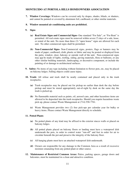- **7. Window Coverings:** Windows can be covered only by drapes, shades, blinds, or shutters, and cannot be painted or covered by aluminum foil, cardboard, or other similar materials.
- **8. Window mounted air conditioning units are prohibited.**
- **9. Signs**
	- **(a) Real Estate Signs and Commercial Signs-** One standard "For Sale", or "For Rent" is permitted. All real estate signs must be removed within seven (7) days of a sale, lease, or rental of the unit. No more than three (3) "open house" signs are allowed for each unit. No other commercial signs shall be permitted.
	- **(b) Non-Commercial Signs-** Non-Commercial signs, posters, flags or banners may be made of paper, cardboard, cloth, plastic or fabric and may be posted or displayed from the patio, window, door, balcony or outside wall of the unit. Non-commercial signs may not be made of lights, roofing, siding, paving materials, flora or balloons, or any other similar building materials, landscaping, or decorative component, or include the painting of or damage to architectural surfaces.
- **9. Safety:** No items of any type including without limitation to flower pots, etc, may be placed on balcony ledges. Falling objects could cause injury.
- **10. Trash:** All refuse and trash shall be neatly contained and placed only in the trash receptacles.
	- **(a)** Trash receptacles may be placed out for pickup no earlier than dusk the day before pickup and must be stored appropriately out-of-sight by dusk on the same day the trash is picked up.
	- **(b)** No flammable material such as paints, oil, aerosol cans, and other hazardous items are allowed to be deposited into the trash receptacles. Should you require hazardous waste pick-up, please contact Waste Management at (714) 558-7761.
	- **(c)** Waste Management provides two (2) free pick-ups per calendar year for bulky or heavy items. Please contact Waste Management directly to schedule.

#### **11. Potted Plants**

- **(a)** No potted plants of any kind may be affixed to the exterior stucco walls or placed on balcony ledges.
- **(b)** All potted plants placed on balcony floors or landing must have a waterproof dish underneath the pots, in order to control water "run-off" and feet in order for air to circulate beneath the pot and preserve the integrity of the balcony floor.
- **(c)** All hanging plants must have an attached waterproof dish underneath.
- **(d)** Owners are responsible for any damage to the Common Area as a result of excessive moisture emanating from any potted plant or other source.
- **12. Maintenance of Restricted Common Areas:** Patios, parking spaces, garage doors and balconies, must be maintained in a clean and attractive condition.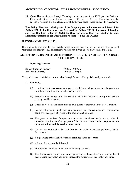**13. Quiet Hours:** Sunday through Thursday, quiet hours are from 10:00 p.m. to 7:00 a.m. Friday and Saturday; quiet hours are from 11:00 p.m. to 8:00 a.m. This quiet time also applies to vehicles that are left running while they are being loaded/unloaded by residents.

**Fine Policy: Fines for violating any of the foregoing use limitations are as follows: Fifty Dollars (\$50.00) for first infraction, Seventy-Five Dollars (\$75.00) for second infraction, and One Hundred Dollars (\$100.00) for third infraction. This is in addition to other applicable sanctions or penalties that may be imposed per the CC&Rs.** 

# **H. POOL COMPLEX RULES**

The Montecido pool complex is privately owned property and is solely for the use of residents of Montecido and their guests. Non-residents who are not invited guests may be asked to leave.

#### **ALL PERSONS WHO ENTER AND USE THE POOL COMPLEX AND FACILITIES DO SO AT THEIR OWN RISK.**

#### **1. Operating Schedule**

| Sunday through Thursday | $7:00$ am- $10:00$ pm |
|-------------------------|-----------------------|
| Friday and Saturday     | $7:00$ am-11:00 pm    |

The pool is heated to 80 degrees from May through October. The spa is heated year-round.

#### **2. Pool Rules**

- **(a)** A resident host must accompany guests at all times. All persons using the pool must be able to show their pool area keys at all times.
- **(b)** Persons under the age of 14 are not allowed in the spa/jacuzzi at any time, even if accompanied by an adult.
- **(c)** Guests of residents are not entitled to have guests of their own in the Pool Complex.
- **(d)** Persons 14 years and under and non-swimmers must be accompanied by a resident adult, over the age of 18, while in the pool areas at all times.
- **(e)** The gates to the Pool Complex are to remain closed and locked except when in immediate use for entry/exit purposes. **The gates are never to be propped or left open (including slightly ajar) for any reason.**
- **(f)** No pets are permitted in the Pool Complex by order of the Orange Country Health Department.
- **(g)** No glassware or breakable bottles are permitted in the pool areas.
- **(h)** All posted rules must be followed.
- **(i)** Pool/Spa/Jacuzzi must not be used while being serviced.
- **(j)** The Homeowners Association and its agents reserve the right to restrict the number of people using the pool at any given time, and to refuse use of the pool at any time.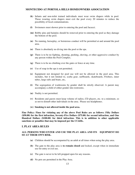- **(k)** Infants and non-toilet trained individuals must wear swim diapers while in pool. Those wearing swim diapers must exit the pool every 20 minutes to reduce the possibility of fecal contaminations.
- **(l)** Swimmers must shower prior to entering the pool and Jacuzzi.
- **(m)** Bobby pins and hairpins should be removed prior to entering the pool as they damage the bottom of the pool.
- **(n)** No running, horseplay, or boisterous conduct will be permitted at and around the pool area.
- **(o)** There is absolutely no diving into the pool or the spa.
- **(p)** There is to be no fighting, shouting, pushing, shoving, or other aggressive conduct by any person within the Pool Complex.
- **(q)** There is to be no climbing over the gates or fence at any time.
- **(r)** Use of soap in the spa is not permitted.
- **(s)** Equipment not designed for pool use will not be allowed in the pool area. This includes, but it not limited to, scuba gear, surfboards, skateboards, Frisbees, inner tubes, large rafts and boats, etc**.**
- **(t)** The segregation of washrooms by gender shall be strictly observed. A parent may accompany a child of either gender into restrooms.
- **(u)** Nudity is not permitted.
- **(v)** Residents and guests must keep volume of radios, CD players, etc. to a minimum, so as not to disturb other individuals in the area. Please use headphones.
- **(w) Smoking is not allowed inside the pool area.**

**Fine Policy: Fines for violating any of the above Pool Rules are as follows: Fifty Dollars (\$50.00) for the first infraction, Seventy-Five Dollars (\$75.00) for second infraction, and One Hundred Dollars (\$100.00) for third infraction. This is in addition to other applicable sanctions or penalties that may be imposed per the CC&Rs.** 

#### **I. PLAY AREA RULES**

#### **ALL PERSONS WHO ENTER AND USE THE PLAY AREA AND ITS EQUIPMENT DO SO AT THEIR OWN RISK.**

- **(a)** Children should be accompanied by an adult at all times when using the play area.
- **(b)** The gate to the play area is **to remain closed** and locked, except when in immediate use for entry or exit use.
- **(c)** The gate is never to be left propped open for any reasons.
- **(d)** No pets are permitted in the Play Area.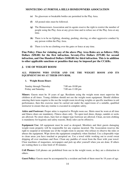- **(e)** No glassware or breakable bottles are permitted in the Play Area.
- **(f)** All posted rules must be followed.
- **(g)** The Homeowners Association and its agents reserve the right to restrict the number of people using the Play Area at any given time and to refuse use of the Play Area at any time.
- **(h)** There is to be no fighting, shouting, pushing, shoving, or other aggressive conduct by any person within the Play Area.
- **(i)** There is to be no climbing over the gates or fence at any time.

**Fine Policy: Fines for violating any of the above Play Area Rules are as follows: Fifty Dollars (\$50.00) for the first infraction, Seventy-Five Dollars (\$75.00) for second infraction, and One Hundred Dollars (\$100.00) for third infraction. This is in addition to other applicable sanctions or penalties that may be imposed per the CC&Rs.** 

#### **J. USE OF WEIGHT ROOM**

#### **ALL PERSONS WHO ENTER AND USE THE WEIGHT ROOM AND ITS EQUIPMENT DO SO AT THEIR OWN RISK.**

#### **1. Weight Room Hours**

| Sunday through Thursday | $7:00$ am- $10:00$ pm |
|-------------------------|-----------------------|
| Friday and Saturday     | $7:00$ am-11:00 pm    |

**Minors**: Guests must be 18 years of age. Residents using the weight room must supervise the children at all times. Young children should not use the weight room equipment. Should children entering their teens require to the use the weight room involving weights or specific machines to aid performance, then this exercise must be carried out under the supervision of a suitable, qualified instructor to ensure that any routine is executed in complete safety.

**Attire and Footwear:** Proper attire is required to Weight room use. Shirts must be worn at all time and fitness shoes are mandatory. Fitness shoes only. No open toed shoes, thongs, sandals or socks are allowed. No street shoes, bare feet or slipper type footwear are allowed. Clean, un-torn clothing is mandatory for hygienic and safety reasons. Body odor can be offensive.

**Equipment Use:** All equipment must be used as designed. Members and their guests damaging weight room property will be responsible for any expense incurred. The Association reserves the right to suspend or terminate use of the weight room to anyone who refuses to observe the rules or abuses the equipment. Wipe down the equipment completely when finished. Use a disposable wipe to clean areas you have touched or perspired on. Use a towel while working out to avoid sweat dripping all over machines and floor. Clean any puddles of sweat from the floor with your towel. Clear machines of magazines, newspapers and pick up after yourself when you are done. If others are waiting there is a time limit of 30 minutes.

**Cell Phones:** Cell phones are prohibited from use in the weight room, as they are a distraction to others.

**Guest Policy:** Guests must be accompanied by a resident and both of them must be 18 years of age.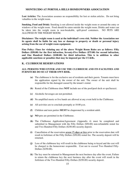**Lost Articles:** The Association assumes no responsibility for lost or stolen articles. Do not bring valuables to the weight room.

**Smoking, Food and Drink:** Smoking is not allowed inside the weight room or around the entry or windows of the weight room. Food should be eaten outside the weight room. Drinks and water can be taken into the weight room in non-breakable, spill-proof containers. NO PETS ARE ALLOWED IN THE WEIGHT ROOM.

**Disclaimer: The weight room is used at the individual's own risk. Neither the Association nor its agents shall be liable for any loss or damage to property or death or personal injury arising from the use of weight room equipment.** 

**Fine Policy: Fines for violating any of the above Weight Room Rules are as follows: Fifty Dollars (\$50.00) for the first infraction, Seventy-Five Dollars (\$75.00) for second infraction, and One Hundred Dollars (\$100.00) for third infraction. This is in addition to other applicable sanctions or penalties that may be imposed per the CC&Rs.**

#### **K. CLUBHOUSE RESERVATIONS**

#### **ALL PERSONS WHO ENTER AND USE THE CLUBHOUSE AND ITS FACILITIES AND FURNITURE DO SO AT THEIR OWN RISK.**

- **(a)** The clubhouse is for the exclusive use of residents and their guests. Tenants must have the application signed by the owner of the unit. The owner of the unit shall be responsible for the damaged caused by the tenant's rental.
- **(b)** Rental of the Clubhouse does **NOT** include use of the pool/pool deck or spa/Jacuzzi.
- **(c)** Alcoholic beverages are not permitted.
- **(d)** No amplified music or live bands are allowed at any event held in the Clubhouse.
- **(e)** All activities are to conclude promptly at 10:00 p.m.
- **(f)** Children and teen parties **MUST** be chaperoned by a resident adult.
- **(g) NO** pets are permitted in the Clubhouse.
- **(h)** The Clubhouse Application/Agreement (Appendix 4) must be completed and submitted to Management with the Fifty Dollars (\$50.00) non-refundable rental fee and Two Hundred Fifty Dollars (\$250.00) security deposit.
- **(i)** Cancellation of the reservation *seven (7) days or less* prior to the reservation date will result in forfeiture of the Fifty Dollars (\$50.00) rental fee. The security deposit will be returned.
- **(j)** Loss of the clubhouse key will result in the clubhouse being re-keyed and the cost will be charged to the homeowner responsible. Cost not to exceed Two Hundred Fifty-Dollars (\$250.00).
- **(k)** The key must be returned to Management the next business day after the event, Failure to return the clubhouse key the next business day after the event will result in the forfeiture of the Two Hundred Fifty-Dollars (\$250.00) security deposit.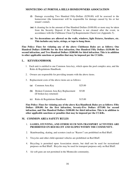- **(l)** Damage exceeding Two Hundred Fifty-Dollars (\$250.00) will be assessed to the homeowner (the homeowner will be responsible for damage caused by his or her tenant's rental).
- **(m)** A cleaning fee in the amount of One Hundred Dollars (\$100.00) or more may be taken from the Security Deposit if the Clubhouse is not cleaned after the event, in accordance with the Clubhouse Clean Up Requirements Check List (Appendix 5).
- **(n) No decorations are allowed on the walls, windows, light fixtures, furniture, etc. This includes any tacks, strings, or tape to hang them.**

**Fine Policy: Fines for violating any of the above Clubhouse Rules are as follows: One Hundred Dollars (\$100.00) for the first infraction, One Hundred Fifty Dollars (\$150.00) for second infraction, and Two Hundred Dollars (\$200.00) for third infraction. This is in addition to other applicable sanctions or penalties that may be imposed per the CC&Rs.**

#### **L. KEYS/HANDBOOK**

- 1. Each unit is entitled to one Common Area key, which opens the pool complex area, and the Rules & Regulations Handbook.
- 2. Owners are responsible for providing tenants with the above items.
- 3. Replacement costs of the above items are as follows:

|     | (a) Common Area Key                                            | \$25.00 |
|-----|----------------------------------------------------------------|---------|
| (b) | Broken Common Area Key Replacement<br>(If broken key returned) | \$5.00  |

**(c)** Rules & Regulations Handbook \$15.00

**Fine Policy: Fines for violating any of the above Key/Handbook Rules are as follows: Fifty Dollars (\$50.00) for the first infraction, Seventy-Five Dollars (\$75.00) for second infraction, and One Hundred Dollars (\$100.00) for third infraction. This is in addition to other applicable sanctions or penalties that may be imposed per the CC&Rs.**

#### **M. COMMON AREA SAFETY RULES**

#### 1. **GAMES, STUNTING, AND OTHER SUCH NON-TRANSPORT ACTIVITIES ARE PROHIBITED ON RED BLUFF AND SLOPES WITHIN THE COMMUNITY.**

- 2. Skateboarding, skating, and scooters (such as "Razors") are prohibited on Red Bluff.
- 3. Tricycles and other child-operated vehicles are prohibited on Red Bluff.
- 4. Bicycling is permitted upon Association streets, but shall not be used for recreational purposes on Red Bluff. Bicycles may be used for transport purposes only on Red Bluff.
- 5. Air soft guns are not permitted in the Montecido community.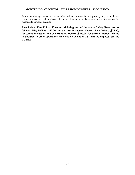Injuries or damage caused by the unauthorized use of Association's property may result in the Association seeking indemnification from the offender, or in the case of a juvenile, against the responsible parent or guardian.

**Fine Policy: Fine Policy: Fines for violating any of the above Safety Rules are as follows: Fifty Dollars (\$50.00) for the first infraction, Seventy-Five Dollars (\$75.00) for second infraction, and One Hundred Dollars (\$100.00) for third infraction. This is in addition to other applicable sanctions or penalties that may be imposed per the CC&Rs.**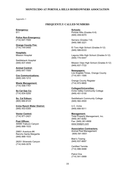Appendix 1

#### **FREQUENTLY CALLED NUMBERS**

**Emergency:** 911

**Police Non-Emergency:** (714) 647-7000

**Orange County Fire:** (714) 744-0400

**Hospitals:** Mission Hospital

Saddleback Hospital (949) 837-4500

**Animal Control:** (949) 647-7000

**Cox Communications:** (949) 240-1212

**Waste Management:** (714) 558-7761

**So Cal Gas Co:** (714) 834-5200

**So. Cal Edison:** (800) 684-8123

**Irvine Ranch Water District:** (949) 453-5300

**Vector Control:** (714) 971-2421

**Post Offices:**  30595 Trabuco Canyon (949) 888-1533

29851 Aventura #K Rancho Santa Margarita (949) 888-1533

28251 Silverado Canyon (714) 649-3076

**Schools:**

Portola Hills (Grades K-6) (949) 459-9370

Serrano (Grades 7-8) (949) 586-3221

El Toro High School (Grades 9-12) (949) 586-6333

Laguna Hills High School (Grades 9-12) (949) 770-5447

Mission Viejo High School (Grades 9-12) (949) 837-7722

**Newspapers:** Los Angeles Times, Orange County (714) 641-1595

Orange County Register (714) 972-9800

**Colleges/Universities:** Irvine Valley Community College (949) 451-5100

Saddleback Community College (949) 582-4500

U.C. Irvine (949) 856-5011

**Management:** Total Property Management, Inc. (949) 261-8282 Fax: (949) 261-6958 www.totalpm.com

**Association Contractors:** Animal Pest Management (909) 591-9551

Blair's Towing (949) 837-8697

Certified Termite (714) 996-9488

Patrol One (714) 541-0999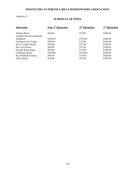# Appendix 2

# **SCHEDULE OF FINES**

| <b>Fine 1st Infraction</b> | $2nd$ Infraction | $3rd$ Infraction |
|----------------------------|------------------|------------------|
| \$50.00                    | \$75.00          | \$100.00         |
| \$100.00                   | \$150.00         | \$200.00         |
| \$50.00                    | \$75.00          | \$100.00         |
| \$50.00                    | \$75.00          | \$100.00         |
| \$50.00                    | \$75.00          | \$100.00         |
| \$50.00                    | \$75.00          | \$100.00         |
| \$100.00                   | \$150.00         | \$200.00         |
| \$50.00                    | \$75.00          | \$100.00         |
| \$50.00                    | \$75.00          | \$100.00         |
|                            |                  |                  |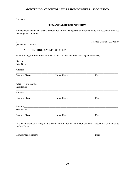#### Appendix 3

## **TENANT AGREEMENT FORM**

Homeowners who have Tenants are required to provide registration information to the Association for use in emergency situations

Re:\_\_\_\_\_\_\_\_\_\_\_\_\_\_\_\_\_\_\_\_\_\_\_\_\_\_\_\_\_\_\_\_\_\_\_\_\_\_\_\_\_\_\_\_\_\_\_\_\_\_\_\_\_\_\_\_\_\_\_Trabuco Canyon, CA 92679

(Montecido Address)

#### **A. EMERGENCY INFORMATION**

The following information is confidential and for Association use during an emergency:

| <b>Print Name</b> |            |     |  |
|-------------------|------------|-----|--|
| Address           |            |     |  |
| Daytime Phone     | Home Phone | Fax |  |
| Print Name        |            |     |  |
| Address           |            |     |  |
| Daytime Phone     | Home Phone | Fax |  |
|                   |            |     |  |
| Print Name        |            |     |  |
| Daytime Phone     | Home Phone | Fax |  |

I/we have provided a copy of the Montecido at Portola Hills Homeowners Association Guidelines to my/our Tenant.

\_\_\_\_\_\_\_\_\_\_\_\_\_\_\_\_\_\_\_\_\_\_\_\_\_\_\_\_\_\_\_\_\_\_\_\_\_\_\_\_\_\_\_\_\_\_\_\_\_\_\_\_\_\_\_\_\_\_\_\_\_\_\_\_\_\_\_\_\_\_\_\_\_\_\_\_\_\_\_\_\_\_\_\_

| Homeowner Signature | Date |
|---------------------|------|
|                     |      |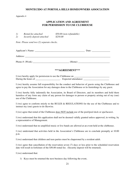#### Appendix 4

# **APPLICATION AND AGREEMENT FOR PERMISSION TO USE CLUBHOUSE**

| 1) | Rental fee attached       | \$50.00 (non-refundable) |
|----|---------------------------|--------------------------|
| 2) | Security deposit attached | \$250.00                 |

*Note: Please send two (2) separate checks.* 

| Applicant's Name:   | Date:  |
|---------------------|--------|
| Address:            |        |
| Phone $\#$ : (Work) | (Home) |

#### **\*\*\*AGREEMENT\*\*\***

I (we) hereby apply for permission to use the Clubhouse on \_\_\_\_\_\_\_\_\_\_\_\_\_\_\_\_\_\_\_\_\_\_\_\_\_\_\_\_\_ During the hours of \_\_\_\_\_\_\_\_\_\_\_\_\_\_\_\_\_\_\_\_. Expected attendance: \_\_\_\_\_\_\_\_\_\_\_\_\_\_\_\_\_\_\_\_\_\_\_\_

I (we) hereby assume full responsibility for the conduct and behavior of guests using the Clubhouse and agree to pay the Association for any damages done to the Clubhouse or its furnishings by any guest.

I (we) hereby fully indemnify the Association, its Board of Directors, and its members and hold them harmless of any form any claim of any person for damages to person or property arising out of my (our) use of the Clubhouse.

I (we) agree to conform strictly to the RULES & REGULATIONS for the use of the Clubhouse and to instruct my (our) guests to do likewise.

I (we) agree that rental of the Clubhouse does NOT include use of the pool/pool deck or spa/Jacuzzi.

I (we) understand that this application shall not be deemed validly granted unless approved, in writing, by a representative of Management.

I (we) understand that no amplified music or live bands are allowed at an event held at the clubhouse.

I (we) understand that activities held in the Association's Clubhouse are to conclude promptly at 10:00 p.m.

I (we) understand that children and teen parties must be chaperoned by a resident adult.

I (we) agree that cancellation of the reservation seven (7) days or less prior to the scheduled reservation date will result in forfeiture of the \$50.00 rental fee. (Security deposit will be returned).

I (we) understand that:

1) Keys must be returned the next business day following the event,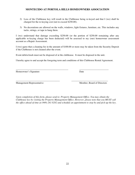- 2) Loss of the Clubhouse key will result in the Clubhouse being re-keyed and that I (we) shall be charged for the re-keying cost (not to exceed \$250.00).
- 3) No decorations are allowed on the walls, windows, light fixtures, furniture, etc. This includes any tacks, strings, or tape to hang them.

I (we) understand that damage exceeding \$250.00 (or the portion of \$250.00 remaining after any applicable re-keying charge has been deducted) will be assessed to my (our) homeowner assessment account as a Repair Assessment.

I (we) agree that a cleaning fee in the amount of \$100.00 or more may be taken from the Security Deposit if the Clubhouse is not cleaned after the event.

Event debris/trash must not be disposed of at the clubhouse. It must be disposed in the unit.

I hereby agree to and accept the foregoing term and conditions of this Clubhouse Rental Agreement.

\_\_\_\_\_\_\_\_\_\_\_\_\_\_\_\_\_\_\_\_\_\_\_\_\_\_\_\_\_\_\_\_\_\_\_\_\_\_\_\_\_\_\_ \_\_\_\_\_\_\_\_\_\_\_\_\_\_\_\_\_\_\_\_\_\_\_\_

Homeowner's Signature Date

\_\_\_\_\_\_\_\_\_\_\_\_\_\_\_\_\_\_\_\_\_\_\_\_\_\_\_\_\_\_\_\_\_\_\_\_ \_\_\_\_\_\_\_\_\_\_\_\_\_\_\_\_\_\_\_\_\_\_\_\_\_\_\_\_\_\_ Management Representative Member, Board of Directors

*Upon completion of this form, please send to: Property Management Office. You may obtain the Clubhouse key by visiting the Property Management Office. However, please note that you MUST call the office ahead of time at (949) 261-8282 and schedule an appointment to stop by and pick-up the key.*